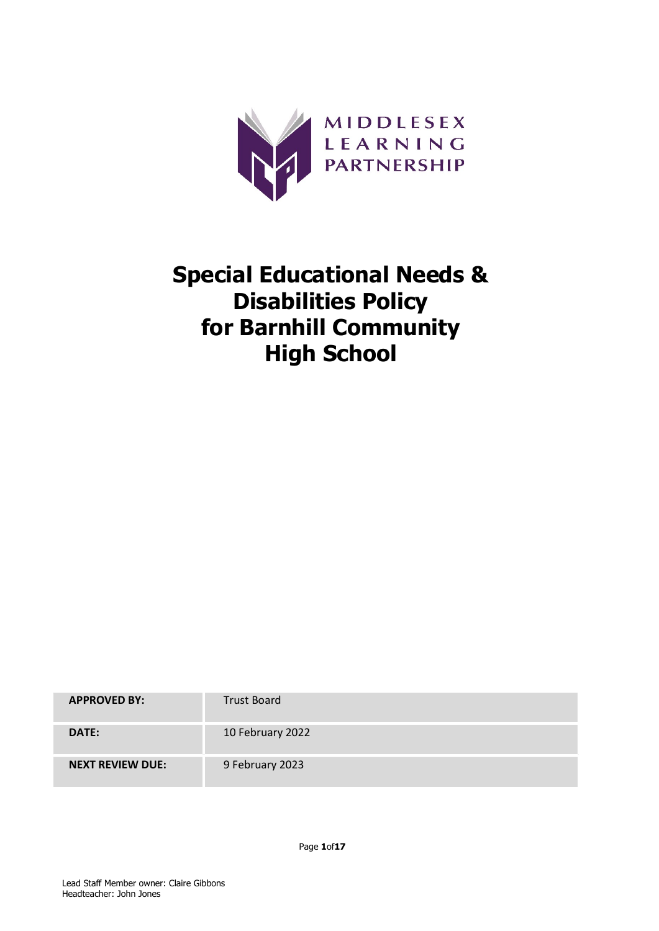

# Special Educational Needs & Disabilities Policy for Barnhill Community High School

| <b>APPROVED BY:</b>     | <b>Trust Board</b> |
|-------------------------|--------------------|
| DATE:                   | 10 February 2022   |
| <b>NEXT REVIEW DUE:</b> | 9 February 2023    |

Page 1of17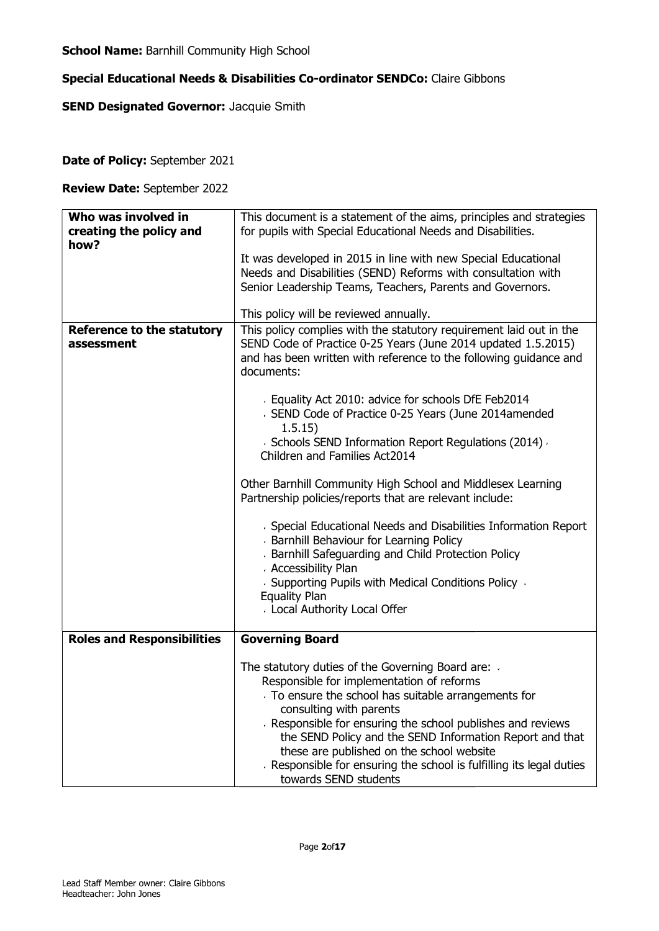# Special Educational Needs & Disabilities Co-ordinator SENDCo: Claire Gibbons

# **SEND Designated Governor: Jacquie Smith**

Date of Policy: September 2021

Review Date: September 2022

| Who was involved in<br>creating the policy and<br>how? | This document is a statement of the aims, principles and strategies<br>for pupils with Special Educational Needs and Disabilities.<br>It was developed in 2015 in line with new Special Educational<br>Needs and Disabilities (SEND) Reforms with consultation with<br>Senior Leadership Teams, Teachers, Parents and Governors.<br>This policy will be reviewed annually.                                                                                                                                                                                                                                                                                                                                                                                                                                                                                                  |
|--------------------------------------------------------|-----------------------------------------------------------------------------------------------------------------------------------------------------------------------------------------------------------------------------------------------------------------------------------------------------------------------------------------------------------------------------------------------------------------------------------------------------------------------------------------------------------------------------------------------------------------------------------------------------------------------------------------------------------------------------------------------------------------------------------------------------------------------------------------------------------------------------------------------------------------------------|
| <b>Reference to the statutory</b><br>assessment        | This policy complies with the statutory requirement laid out in the<br>SEND Code of Practice 0-25 Years (June 2014 updated 1.5.2015)<br>and has been written with reference to the following guidance and<br>documents:<br>Equality Act 2010: advice for schools DfE Feb2014<br>> SEND Code of Practice 0-25 Years (June 2014amended<br>1.5.15)<br>· Schools SEND Information Report Regulations (2014) -<br>Children and Families Act2014<br>Other Barnhill Community High School and Middlesex Learning<br>Partnership policies/reports that are relevant include:<br>· Special Educational Needs and Disabilities Information Report<br>Barnhill Behaviour for Learning Policy<br>Barnhill Safeguarding and Child Protection Policy<br>Accessibility Plan<br>↓ Supporting Pupils with Medical Conditions Policy →<br><b>Equality Plan</b><br>Local Authority Local Offer |
| <b>Roles and Responsibilities</b>                      | <b>Governing Board</b>                                                                                                                                                                                                                                                                                                                                                                                                                                                                                                                                                                                                                                                                                                                                                                                                                                                      |
|                                                        | The statutory duties of the Governing Board are: .<br>Responsible for implementation of reforms<br>To ensure the school has suitable arrangements for<br>consulting with parents<br>Responsible for ensuring the school publishes and reviews<br>the SEND Policy and the SEND Information Report and that<br>these are published on the school website<br>Responsible for ensuring the school is fulfilling its legal duties<br>towards SEND students                                                                                                                                                                                                                                                                                                                                                                                                                       |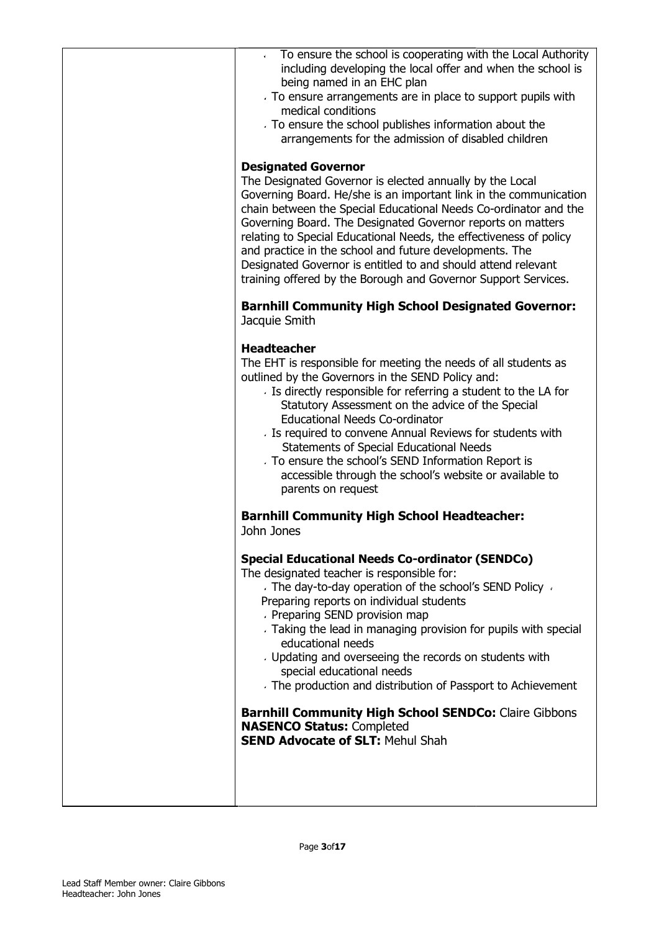| To ensure the school is cooperating with the Local Authority<br>including developing the local offer and when the school is<br>being named in an EHC plan<br>To ensure arrangements are in place to support pupils with<br>medical conditions<br>To ensure the school publishes information about the<br>arrangements for the admission of disabled children<br><b>Designated Governor</b><br>The Designated Governor is elected annually by the Local                                                                                                                                                                           |
|----------------------------------------------------------------------------------------------------------------------------------------------------------------------------------------------------------------------------------------------------------------------------------------------------------------------------------------------------------------------------------------------------------------------------------------------------------------------------------------------------------------------------------------------------------------------------------------------------------------------------------|
| Governing Board. He/she is an important link in the communication<br>chain between the Special Educational Needs Co-ordinator and the<br>Governing Board. The Designated Governor reports on matters<br>relating to Special Educational Needs, the effectiveness of policy<br>and practice in the school and future developments. The<br>Designated Governor is entitled to and should attend relevant<br>training offered by the Borough and Governor Support Services.                                                                                                                                                         |
| <b>Barnhill Community High School Designated Governor:</b><br>Jacquie Smith                                                                                                                                                                                                                                                                                                                                                                                                                                                                                                                                                      |
| <b>Headteacher</b><br>The EHT is responsible for meeting the needs of all students as<br>outlined by the Governors in the SEND Policy and:<br>> Is directly responsible for referring a student to the LA for<br>Statutory Assessment on the advice of the Special<br><b>Educational Needs Co-ordinator</b><br>Is required to convene Annual Reviews for students with<br>Statements of Special Educational Needs<br>To ensure the school's SEND Information Report is<br>accessible through the school's website or available to<br>parents on request                                                                          |
| <b>Barnhill Community High School Headteacher:</b><br>John Jones                                                                                                                                                                                                                                                                                                                                                                                                                                                                                                                                                                 |
| <b>Special Educational Needs Co-ordinator (SENDCo)</b><br>The designated teacher is responsible for:<br>The day-to-day operation of the school's SEND Policy<br>Preparing reports on individual students<br>Preparing SEND provision map<br>Taking the lead in managing provision for pupils with special<br>educational needs<br>Updating and overseeing the records on students with<br>special educational needs<br>The production and distribution of Passport to Achievement<br><b>Barnhill Community High School SENDCo: Claire Gibbons</b><br><b>NASENCO Status: Completed</b><br><b>SEND Advocate of SLT: Mehul Shah</b> |
|                                                                                                                                                                                                                                                                                                                                                                                                                                                                                                                                                                                                                                  |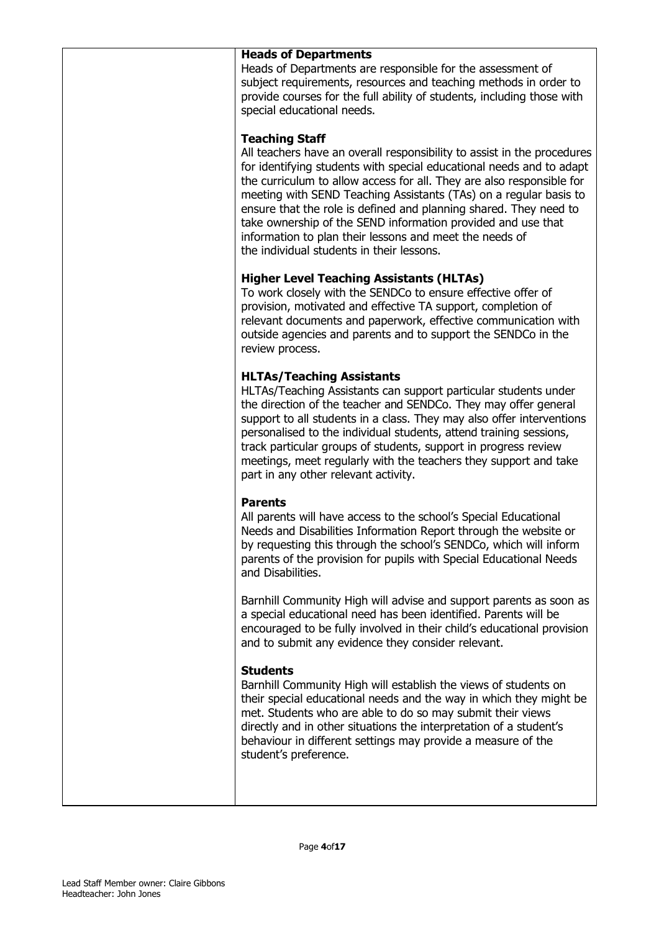#### Heads of Departments

Heads of Departments are responsible for the assessment of subject requirements, resources and teaching methods in order to provide courses for the full ability of students, including those with special educational needs.

#### Teaching Staff

All teachers have an overall responsibility to assist in the procedures for identifying students with special educational needs and to adapt the curriculum to allow access for all. They are also responsible for meeting with SEND Teaching Assistants (TAs) on a regular basis to ensure that the role is defined and planning shared. They need to take ownership of the SEND information provided and use that information to plan their lessons and meet the needs of the individual students in their lessons.

## Higher Level Teaching Assistants (HLTAs)

To work closely with the SENDCo to ensure effective offer of provision, motivated and effective TA support, completion of relevant documents and paperwork, effective communication with outside agencies and parents and to support the SENDCo in the review process.

# HLTAs/Teaching Assistants

HLTAs/Teaching Assistants can support particular students under the direction of the teacher and SENDCo. They may offer general support to all students in a class. They may also offer interventions personalised to the individual students, attend training sessions, track particular groups of students, support in progress review meetings, meet regularly with the teachers they support and take part in any other relevant activity.

# Parents

All parents will have access to the school's Special Educational Needs and Disabilities Information Report through the website or by requesting this through the school's SENDCo, which will inform parents of the provision for pupils with Special Educational Needs and Disabilities.

Barnhill Community High will advise and support parents as soon as a special educational need has been identified. Parents will be encouraged to be fully involved in their child's educational provision and to submit any evidence they consider relevant.

#### **Students**

Barnhill Community High will establish the views of students on their special educational needs and the way in which they might be met. Students who are able to do so may submit their views directly and in other situations the interpretation of a student's behaviour in different settings may provide a measure of the student's preference.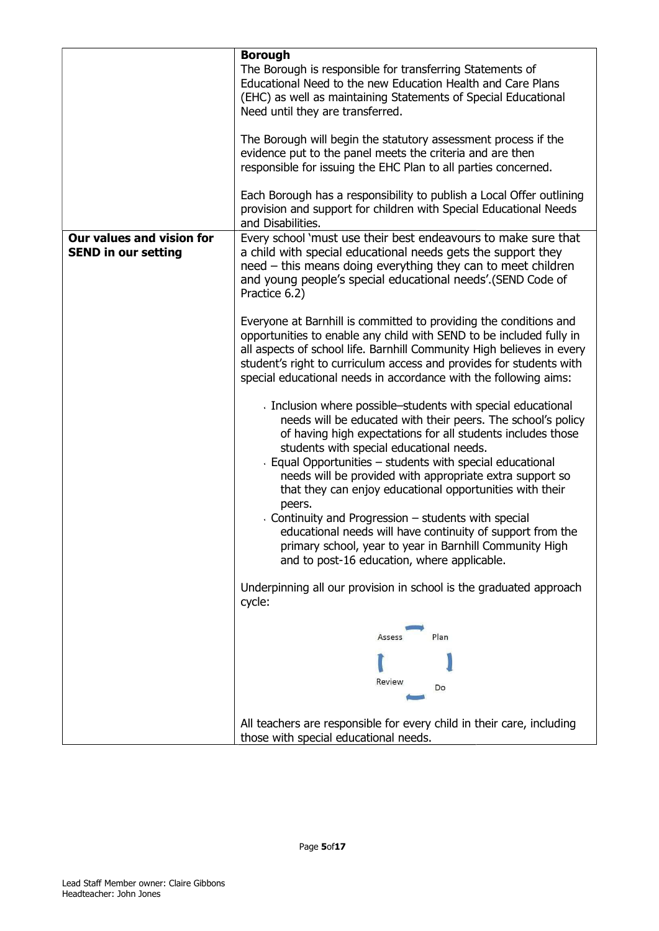|                                                         | <b>Borough</b><br>The Borough is responsible for transferring Statements of<br>Educational Need to the new Education Health and Care Plans<br>(EHC) as well as maintaining Statements of Special Educational<br>Need until they are transferred.                                                                                                                                                                                                                                                                                                                                                                                                                 |
|---------------------------------------------------------|------------------------------------------------------------------------------------------------------------------------------------------------------------------------------------------------------------------------------------------------------------------------------------------------------------------------------------------------------------------------------------------------------------------------------------------------------------------------------------------------------------------------------------------------------------------------------------------------------------------------------------------------------------------|
|                                                         | The Borough will begin the statutory assessment process if the<br>evidence put to the panel meets the criteria and are then<br>responsible for issuing the EHC Plan to all parties concerned.                                                                                                                                                                                                                                                                                                                                                                                                                                                                    |
|                                                         | Each Borough has a responsibility to publish a Local Offer outlining<br>provision and support for children with Special Educational Needs<br>and Disabilities.                                                                                                                                                                                                                                                                                                                                                                                                                                                                                                   |
| Our values and vision for<br><b>SEND in our setting</b> | Every school 'must use their best endeavours to make sure that<br>a child with special educational needs gets the support they<br>need - this means doing everything they can to meet children<br>and young people's special educational needs'.(SEND Code of<br>Practice 6.2)                                                                                                                                                                                                                                                                                                                                                                                   |
|                                                         | Everyone at Barnhill is committed to providing the conditions and<br>opportunities to enable any child with SEND to be included fully in<br>all aspects of school life. Barnhill Community High believes in every<br>student's right to curriculum access and provides for students with<br>special educational needs in accordance with the following aims:                                                                                                                                                                                                                                                                                                     |
|                                                         | Inclusion where possible-students with special educational<br>needs will be educated with their peers. The school's policy<br>of having high expectations for all students includes those<br>students with special educational needs.<br>Equal Opportunities – students with special educational<br>needs will be provided with appropriate extra support so<br>that they can enjoy educational opportunities with their<br>peers.<br>Continuity and Progression – students with special<br>educational needs will have continuity of support from the<br>primary school, year to year in Barnhill Community High<br>and to post-16 education, where applicable. |
|                                                         | Underpinning all our provision in school is the graduated approach<br>cycle:                                                                                                                                                                                                                                                                                                                                                                                                                                                                                                                                                                                     |
|                                                         | Plan<br>Assess                                                                                                                                                                                                                                                                                                                                                                                                                                                                                                                                                                                                                                                   |
|                                                         | Review<br>Do                                                                                                                                                                                                                                                                                                                                                                                                                                                                                                                                                                                                                                                     |
|                                                         | All teachers are responsible for every child in their care, including<br>those with special educational needs.                                                                                                                                                                                                                                                                                                                                                                                                                                                                                                                                                   |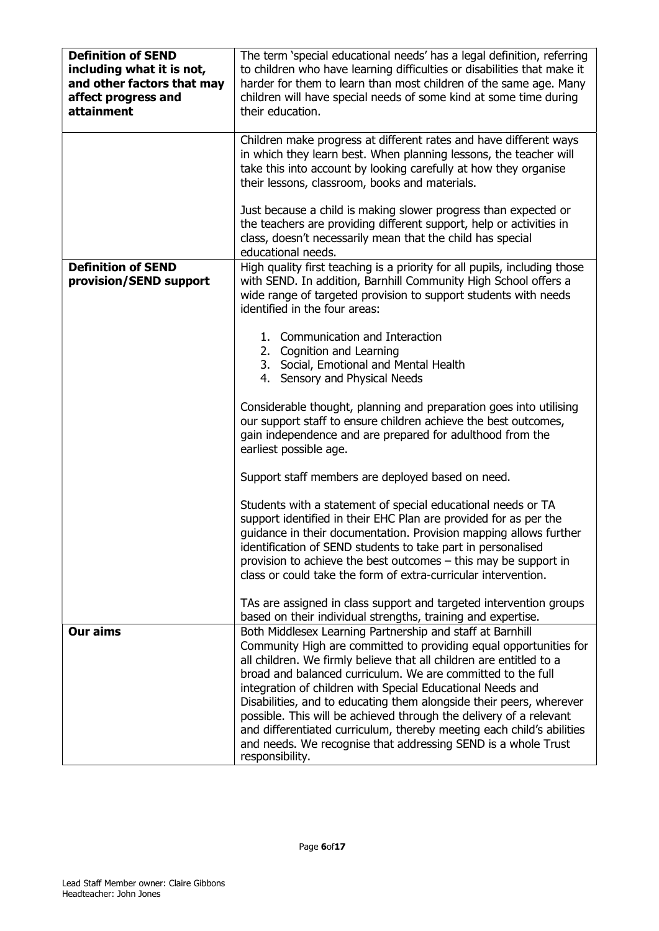| <b>Definition of SEND</b><br>including what it is not,<br>and other factors that may<br>affect progress and<br>attainment | The term 'special educational needs' has a legal definition, referring<br>to children who have learning difficulties or disabilities that make it<br>harder for them to learn than most children of the same age. Many<br>children will have special needs of some kind at some time during<br>their education.                                                                                                                                                                                                                                                                                                                              |
|---------------------------------------------------------------------------------------------------------------------------|----------------------------------------------------------------------------------------------------------------------------------------------------------------------------------------------------------------------------------------------------------------------------------------------------------------------------------------------------------------------------------------------------------------------------------------------------------------------------------------------------------------------------------------------------------------------------------------------------------------------------------------------|
|                                                                                                                           | Children make progress at different rates and have different ways<br>in which they learn best. When planning lessons, the teacher will<br>take this into account by looking carefully at how they organise<br>their lessons, classroom, books and materials.                                                                                                                                                                                                                                                                                                                                                                                 |
|                                                                                                                           | Just because a child is making slower progress than expected or<br>the teachers are providing different support, help or activities in<br>class, doesn't necessarily mean that the child has special<br>educational needs.                                                                                                                                                                                                                                                                                                                                                                                                                   |
| <b>Definition of SEND</b><br>provision/SEND support                                                                       | High quality first teaching is a priority for all pupils, including those<br>with SEND. In addition, Barnhill Community High School offers a<br>wide range of targeted provision to support students with needs<br>identified in the four areas:                                                                                                                                                                                                                                                                                                                                                                                             |
|                                                                                                                           | 1. Communication and Interaction<br>2. Cognition and Learning<br>3. Social, Emotional and Mental Health<br>4. Sensory and Physical Needs                                                                                                                                                                                                                                                                                                                                                                                                                                                                                                     |
|                                                                                                                           | Considerable thought, planning and preparation goes into utilising<br>our support staff to ensure children achieve the best outcomes,<br>gain independence and are prepared for adulthood from the<br>earliest possible age.                                                                                                                                                                                                                                                                                                                                                                                                                 |
|                                                                                                                           | Support staff members are deployed based on need.                                                                                                                                                                                                                                                                                                                                                                                                                                                                                                                                                                                            |
|                                                                                                                           | Students with a statement of special educational needs or TA<br>support identified in their EHC Plan are provided for as per the<br>guidance in their documentation. Provision mapping allows further<br>identification of SEND students to take part in personalised<br>provision to achieve the best outcomes - this may be support in<br>class or could take the form of extra-curricular intervention.                                                                                                                                                                                                                                   |
|                                                                                                                           | TAs are assigned in class support and targeted intervention groups<br>based on their individual strengths, training and expertise.                                                                                                                                                                                                                                                                                                                                                                                                                                                                                                           |
| <b>Our aims</b>                                                                                                           | Both Middlesex Learning Partnership and staff at Barnhill<br>Community High are committed to providing equal opportunities for<br>all children. We firmly believe that all children are entitled to a<br>broad and balanced curriculum. We are committed to the full<br>integration of children with Special Educational Needs and<br>Disabilities, and to educating them alongside their peers, wherever<br>possible. This will be achieved through the delivery of a relevant<br>and differentiated curriculum, thereby meeting each child's abilities<br>and needs. We recognise that addressing SEND is a whole Trust<br>responsibility. |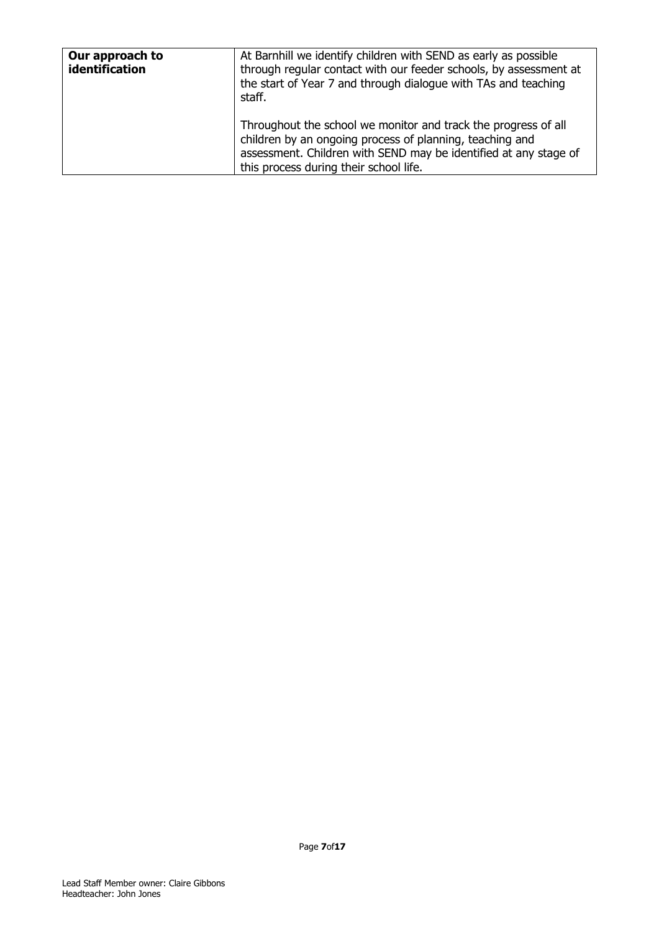| Our approach to<br>identification | At Barnhill we identify children with SEND as early as possible<br>through regular contact with our feeder schools, by assessment at<br>the start of Year 7 and through dialogue with TAs and teaching<br>staff.                         |
|-----------------------------------|------------------------------------------------------------------------------------------------------------------------------------------------------------------------------------------------------------------------------------------|
|                                   | Throughout the school we monitor and track the progress of all<br>children by an ongoing process of planning, teaching and<br>assessment. Children with SEND may be identified at any stage of<br>this process during their school life. |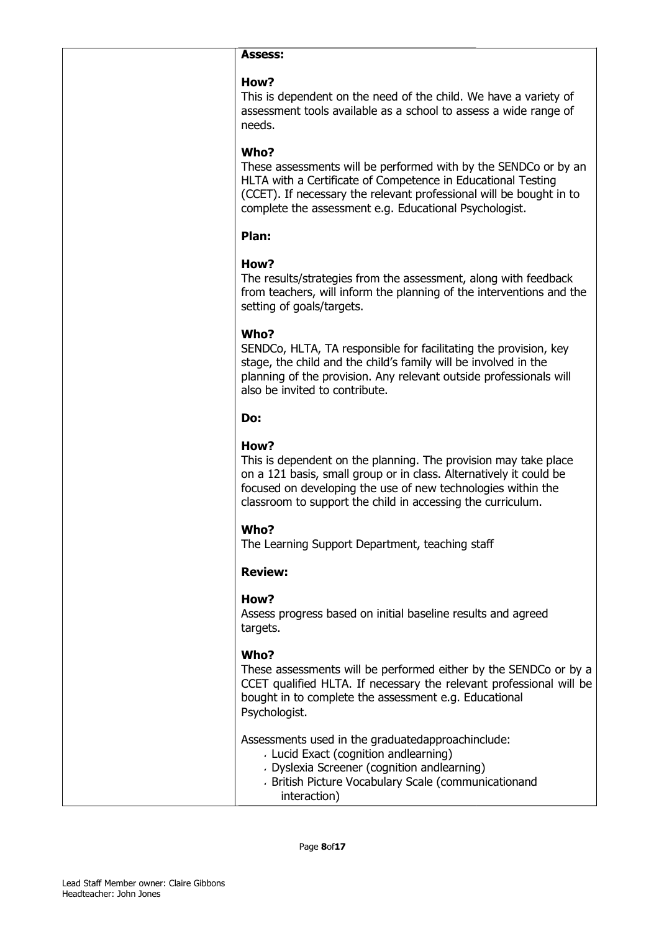#### Assess:

#### How?

This is dependent on the need of the child. We have a variety of assessment tools available as a school to assess a wide range of needs.

# Who?

These assessments will be performed with by the SENDCo or by an HLTA with a Certificate of Competence in Educational Testing (CCET). If necessary the relevant professional will be bought in to complete the assessment e.g. Educational Psychologist.

## Plan:

# How?

The results/strategies from the assessment, along with feedback from teachers, will inform the planning of the interventions and the setting of goals/targets.

## Who?

SENDCo, HLTA, TA responsible for facilitating the provision, key stage, the child and the child's family will be involved in the planning of the provision. Any relevant outside professionals will also be invited to contribute. sment tools available as a school to assess a wide range of<br>
S.<br>
2<br>
2<br>
2<br>
2<br>
assessments will be performed with by the SENDCo or by a<br>
with a Certificate of Competence in Educational Testing<br>
T). If necessary the relevant

#### Do:

# How?

This is dependent on the planning. The provision may take place on a 121 basis, small group or in class. Alternatively it could be focused on developing the use of new technologies within the classroom to support the child in accessing the curriculum.

# Who?

The Learning Support Department, teaching staff

# Review:

#### How?

Assess progress based on initial baseline results and agreed targets.

# Who?

These assessments will be performed either by the SENDCo or by a CCET qualified HLTA. If necessary the relevant professional will be bought in to complete the assessment e.g. Educational Psychologist.

Assessments used in the graduatedapproachinclude:

- Lucid Exact (cognition andlearning)
- Dyslexia Screener (cognition andlearning)
- British Picture Vocabulary Scale (communicationand interaction)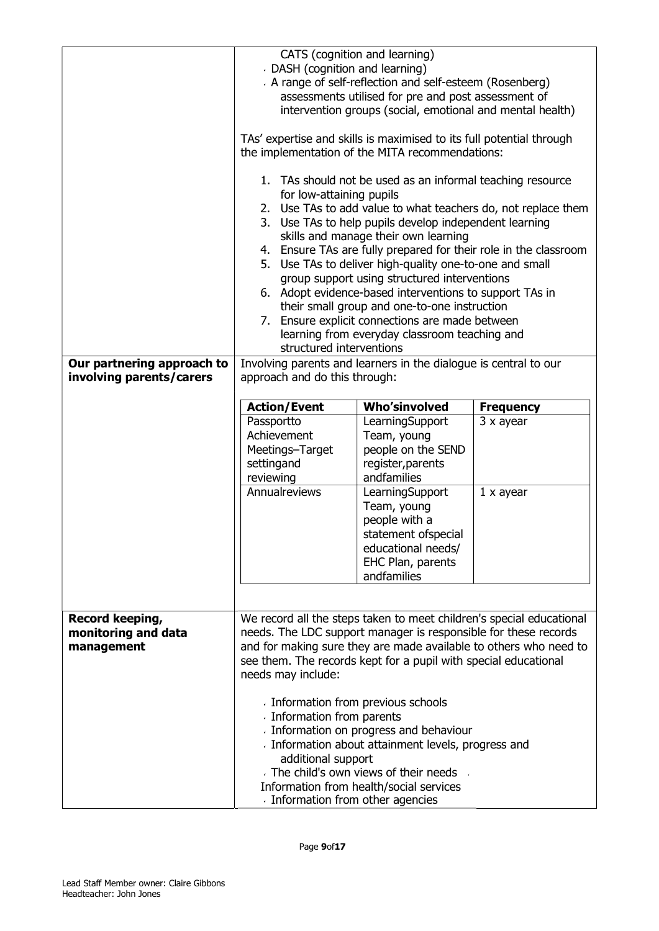| Our partnering approach to                           | DASH (cognition and learning)<br>for low-attaining pupils<br>structured interventions                           | CATS (cognition and learning)<br>A range of self-reflection and self-esteem (Rosenberg)<br>assessments utilised for pre and post assessment of<br>intervention groups (social, emotional and mental health)<br>TAs' expertise and skills is maximised to its full potential through<br>the implementation of the MITA recommendations:<br>1. TAs should not be used as an informal teaching resource<br>2. Use TAs to add value to what teachers do, not replace them<br>3. Use TAs to help pupils develop independent learning<br>skills and manage their own learning<br>4. Ensure TAs are fully prepared for their role in the classroom<br>5. Use TAs to deliver high-quality one-to-one and small<br>group support using structured interventions<br>6. Adopt evidence-based interventions to support TAs in<br>their small group and one-to-one instruction<br>7. Ensure explicit connections are made between<br>learning from everyday classroom teaching and<br>Involving parents and learners in the dialogue is central to our |                                                    |
|------------------------------------------------------|-----------------------------------------------------------------------------------------------------------------|-------------------------------------------------------------------------------------------------------------------------------------------------------------------------------------------------------------------------------------------------------------------------------------------------------------------------------------------------------------------------------------------------------------------------------------------------------------------------------------------------------------------------------------------------------------------------------------------------------------------------------------------------------------------------------------------------------------------------------------------------------------------------------------------------------------------------------------------------------------------------------------------------------------------------------------------------------------------------------------------------------------------------------------------|----------------------------------------------------|
| involving parents/carers                             | approach and do this through:                                                                                   |                                                                                                                                                                                                                                                                                                                                                                                                                                                                                                                                                                                                                                                                                                                                                                                                                                                                                                                                                                                                                                           |                                                    |
|                                                      | <b>Action/Event</b><br>Passportto<br>Achievement<br>Meetings-Target<br>settingand<br>reviewing<br>Annualreviews | <b>Who'sinvolved</b><br>LearningSupport<br>Team, young<br>people on the SEND<br>register, parents<br>andfamilies<br>LearningSupport<br>Team, young<br>people with a<br>statement ofspecial<br>educational needs/<br>EHC Plan, parents<br>andfamilies                                                                                                                                                                                                                                                                                                                                                                                                                                                                                                                                                                                                                                                                                                                                                                                      | <b>Frequency</b><br>3 x ayear<br>$1 \times a$ year |
| Record keeping,<br>monitoring and data<br>management | needs may include:<br>Information from parents<br>additional support<br>Information from other agencies         | We record all the steps taken to meet children's special educational<br>needs. The LDC support manager is responsible for these records<br>and for making sure they are made available to others who need to<br>see them. The records kept for a pupil with special educational<br>Information from previous schools<br>Information on progress and behaviour<br>Information about attainment levels, progress and<br>The child's own views of their needs<br>Information from health/social services                                                                                                                                                                                                                                                                                                                                                                                                                                                                                                                                     |                                                    |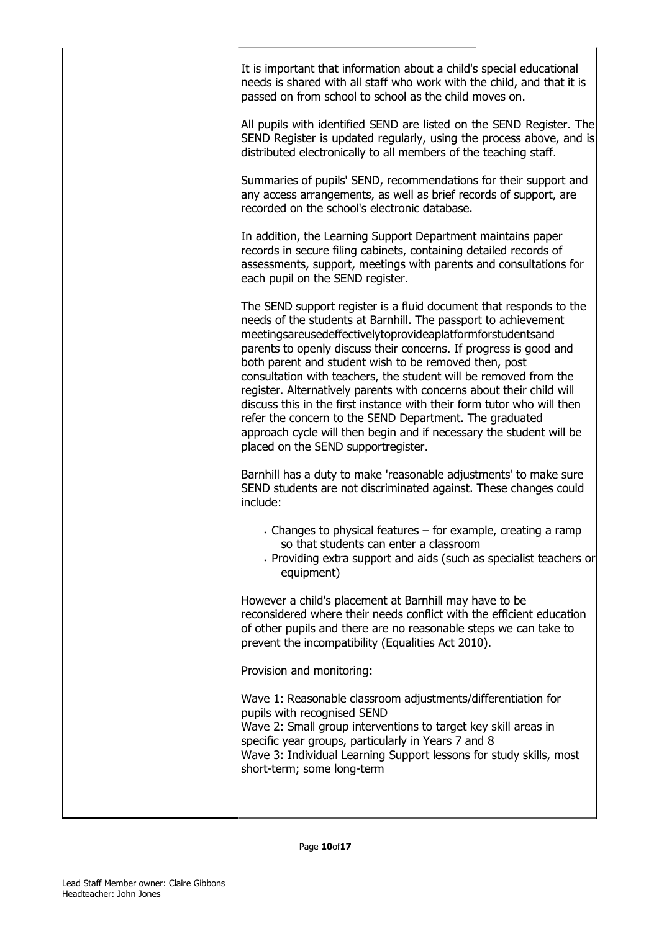| It is important that information about a child's special educational<br>needs is shared with all staff who work with the child, and that it is<br>passed on from school to school as the child moves on.                                                                                                                                                                                                                                                                                                                                                                                                                                                                                                                        |
|---------------------------------------------------------------------------------------------------------------------------------------------------------------------------------------------------------------------------------------------------------------------------------------------------------------------------------------------------------------------------------------------------------------------------------------------------------------------------------------------------------------------------------------------------------------------------------------------------------------------------------------------------------------------------------------------------------------------------------|
| All pupils with identified SEND are listed on the SEND Register. The<br>SEND Register is updated regularly, using the process above, and is<br>distributed electronically to all members of the teaching staff.                                                                                                                                                                                                                                                                                                                                                                                                                                                                                                                 |
| Summaries of pupils' SEND, recommendations for their support and<br>any access arrangements, as well as brief records of support, are<br>recorded on the school's electronic database.                                                                                                                                                                                                                                                                                                                                                                                                                                                                                                                                          |
| In addition, the Learning Support Department maintains paper<br>records in secure filing cabinets, containing detailed records of<br>assessments, support, meetings with parents and consultations for<br>each pupil on the SEND register.                                                                                                                                                                                                                                                                                                                                                                                                                                                                                      |
| The SEND support register is a fluid document that responds to the<br>needs of the students at Barnhill. The passport to achievement<br>meetingsareusedeffectivelytoprovideaplatformforstudentsand<br>parents to openly discuss their concerns. If progress is good and<br>both parent and student wish to be removed then, post<br>consultation with teachers, the student will be removed from the<br>register. Alternatively parents with concerns about their child will<br>discuss this in the first instance with their form tutor who will then<br>refer the concern to the SEND Department. The graduated<br>approach cycle will then begin and if necessary the student will be<br>placed on the SEND supportregister. |
| Barnhill has a duty to make 'reasonable adjustments' to make sure<br>SEND students are not discriminated against. These changes could<br>include:                                                                                                                                                                                                                                                                                                                                                                                                                                                                                                                                                                               |
| Changes to physical features - for example, creating a ramp<br>so that students can enter a classroom<br>Providing extra support and aids (such as specialist teachers or<br>equipment)                                                                                                                                                                                                                                                                                                                                                                                                                                                                                                                                         |
| However a child's placement at Barnhill may have to be<br>reconsidered where their needs conflict with the efficient education<br>of other pupils and there are no reasonable steps we can take to<br>prevent the incompatibility (Equalities Act 2010).                                                                                                                                                                                                                                                                                                                                                                                                                                                                        |
| Provision and monitoring:                                                                                                                                                                                                                                                                                                                                                                                                                                                                                                                                                                                                                                                                                                       |
| Wave 1: Reasonable classroom adjustments/differentiation for<br>pupils with recognised SEND<br>Wave 2: Small group interventions to target key skill areas in<br>specific year groups, particularly in Years 7 and 8<br>Wave 3: Individual Learning Support lessons for study skills, most<br>short-term; some long-term                                                                                                                                                                                                                                                                                                                                                                                                        |
|                                                                                                                                                                                                                                                                                                                                                                                                                                                                                                                                                                                                                                                                                                                                 |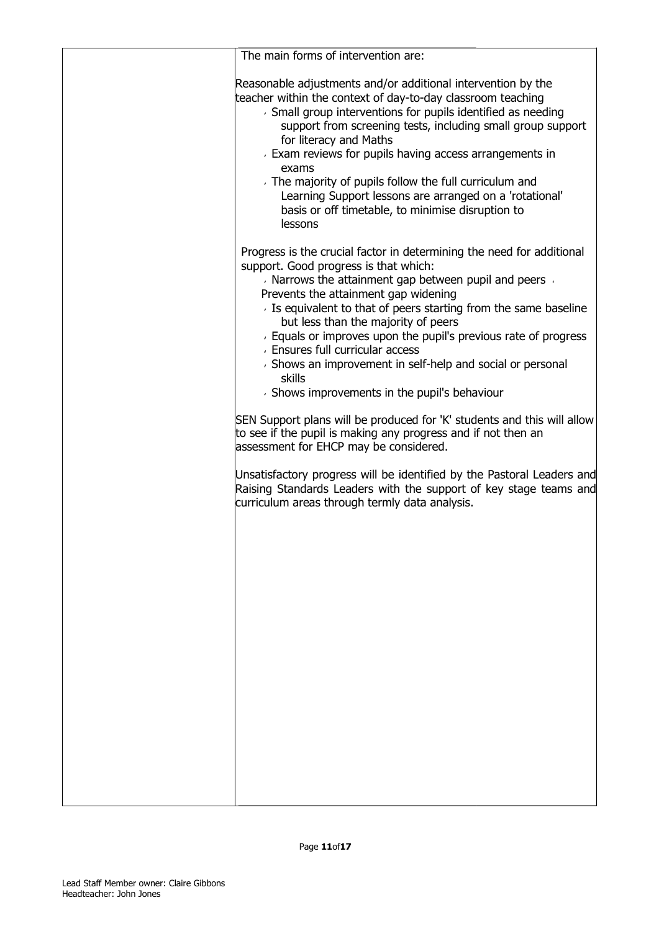| The main forms of intervention are:                                                                                                                                                                                                                                                                                                                                                                             |
|-----------------------------------------------------------------------------------------------------------------------------------------------------------------------------------------------------------------------------------------------------------------------------------------------------------------------------------------------------------------------------------------------------------------|
| Reasonable adjustments and/or additional intervention by the<br>teacher within the context of day-to-day classroom teaching<br>> Small group interventions for pupils identified as needing<br>support from screening tests, including small group support<br>for literacy and Maths<br>Exam reviews for pupils having access arrangements in<br>exams<br>The majority of pupils follow the full curriculum and |
| Learning Support lessons are arranged on a 'rotational'<br>basis or off timetable, to minimise disruption to<br>lessons                                                                                                                                                                                                                                                                                         |
| Progress is the crucial factor in determining the need for additional<br>support. Good progress is that which:<br>Narrows the attainment gap between pupil and peers<br>Prevents the attainment gap widening<br>Deta Is equivalent to that of peers starting from the same baseline                                                                                                                             |
| but less than the majority of peers<br>Equals or improves upon the pupil's previous rate of progress<br><b>Ensures full curricular access</b><br>· Shows an improvement in self-help and social or personal<br>skills<br>Shows improvements in the pupil's behaviour                                                                                                                                            |
| SEN Support plans will be produced for 'K' students and this will allow<br>to see if the pupil is making any progress and if not then an<br>assessment for EHCP may be considered.                                                                                                                                                                                                                              |
| Unsatisfactory progress will be identified by the Pastoral Leaders and<br>Raising Standards Leaders with the support of key stage teams and<br>curriculum areas through termly data analysis.                                                                                                                                                                                                                   |
|                                                                                                                                                                                                                                                                                                                                                                                                                 |
|                                                                                                                                                                                                                                                                                                                                                                                                                 |
|                                                                                                                                                                                                                                                                                                                                                                                                                 |
|                                                                                                                                                                                                                                                                                                                                                                                                                 |
|                                                                                                                                                                                                                                                                                                                                                                                                                 |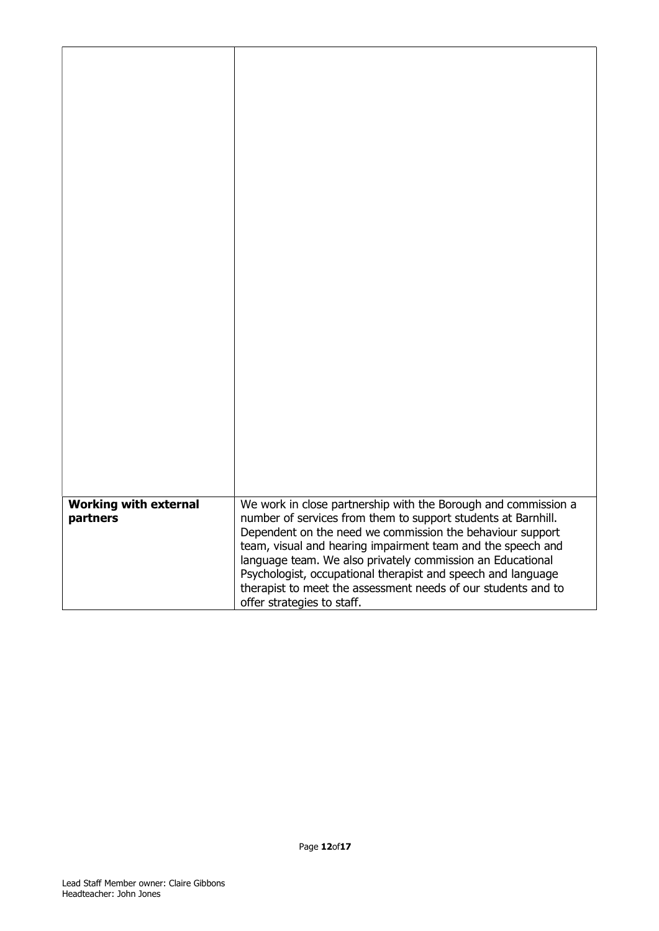| <b>Working with external</b><br>We work in close partnership with the Borough and commission a                            |
|---------------------------------------------------------------------------------------------------------------------------|
| number of services from them to support students at Barnhill.<br>partners                                                 |
| Dependent on the need we commission the behaviour support                                                                 |
| team, visual and hearing impairment team and the speech and<br>language team. We also privately commission an Educational |
| Psychologist, occupational therapist and speech and language                                                              |
| therapist to meet the assessment needs of our students and to<br>offer strategies to staff.                               |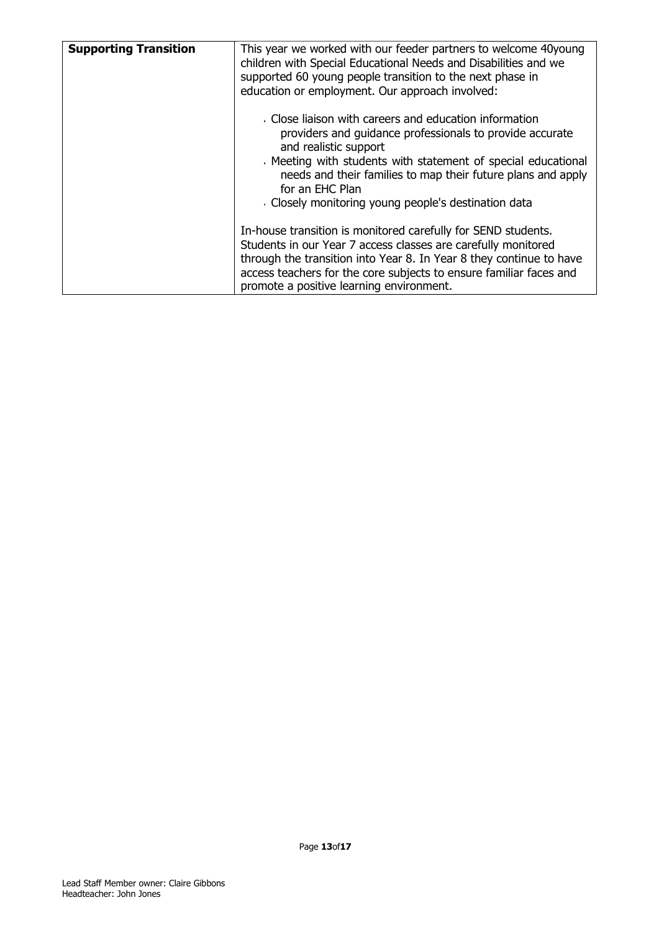| <b>Supporting Transition</b> | This year we worked with our feeder partners to welcome 40young<br>children with Special Educational Needs and Disabilities and we<br>supported 60 young people transition to the next phase in<br>education or employment. Our approach involved:                                                                                                |
|------------------------------|---------------------------------------------------------------------------------------------------------------------------------------------------------------------------------------------------------------------------------------------------------------------------------------------------------------------------------------------------|
|                              | Close liaison with careers and education information<br>providers and guidance professionals to provide accurate<br>and realistic support<br>Meeting with students with statement of special educational<br>needs and their families to map their future plans and apply<br>for an EHC Plan<br>Closely monitoring young people's destination data |
|                              | In-house transition is monitored carefully for SEND students.<br>Students in our Year 7 access classes are carefully monitored<br>through the transition into Year 8. In Year 8 they continue to have<br>access teachers for the core subjects to ensure familiar faces and<br>promote a positive learning environment.                           |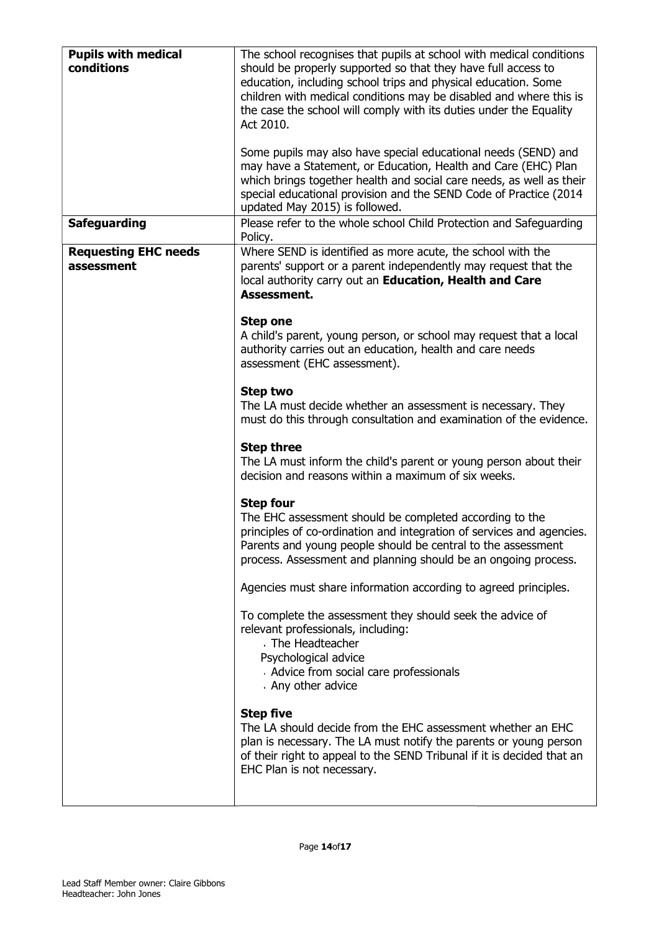| <b>Pupils with medical</b><br>conditions  | The school recognises that pupils at school with medical conditions<br>should be properly supported so that they have full access to<br>education, including school trips and physical education. Some<br>children with medical conditions may be disabled and where this is<br>the case the school will comply with its duties under the Equality<br>Act 2010.<br>Some pupils may also have special educational needs (SEND) and<br>may have a Statement, or Education, Health and Care (EHC) Plan<br>which brings together health and social care needs, as well as their |
|-------------------------------------------|-----------------------------------------------------------------------------------------------------------------------------------------------------------------------------------------------------------------------------------------------------------------------------------------------------------------------------------------------------------------------------------------------------------------------------------------------------------------------------------------------------------------------------------------------------------------------------|
| <b>Safeguarding</b>                       | special educational provision and the SEND Code of Practice (2014<br>updated May 2015) is followed.<br>Please refer to the whole school Child Protection and Safeguarding                                                                                                                                                                                                                                                                                                                                                                                                   |
|                                           | Policy.                                                                                                                                                                                                                                                                                                                                                                                                                                                                                                                                                                     |
| <b>Requesting EHC needs</b><br>assessment | Where SEND is identified as more acute, the school with the<br>parents' support or a parent independently may request that the<br>local authority carry out an Education, Health and Care<br>Assessment.                                                                                                                                                                                                                                                                                                                                                                    |
|                                           | <b>Step one</b><br>A child's parent, young person, or school may request that a local<br>authority carries out an education, health and care needs<br>assessment (EHC assessment).                                                                                                                                                                                                                                                                                                                                                                                          |
|                                           | <b>Step two</b><br>The LA must decide whether an assessment is necessary. They<br>must do this through consultation and examination of the evidence.                                                                                                                                                                                                                                                                                                                                                                                                                        |
|                                           | <b>Step three</b><br>The LA must inform the child's parent or young person about their<br>decision and reasons within a maximum of six weeks.                                                                                                                                                                                                                                                                                                                                                                                                                               |
|                                           | <b>Step four</b><br>The EHC assessment should be completed according to the<br>principles of co-ordination and integration of services and agencies.<br>Parents and young people should be central to the assessment<br>process. Assessment and planning should be an ongoing process.                                                                                                                                                                                                                                                                                      |
|                                           | Agencies must share information according to agreed principles.                                                                                                                                                                                                                                                                                                                                                                                                                                                                                                             |
|                                           | To complete the assessment they should seek the advice of<br>relevant professionals, including:<br>The Headteacher<br>Psychological advice<br>Advice from social care professionals<br>Any other advice                                                                                                                                                                                                                                                                                                                                                                     |
|                                           | <b>Step five</b><br>The LA should decide from the EHC assessment whether an EHC<br>plan is necessary. The LA must notify the parents or young person<br>of their right to appeal to the SEND Tribunal if it is decided that an<br>EHC Plan is not necessary.                                                                                                                                                                                                                                                                                                                |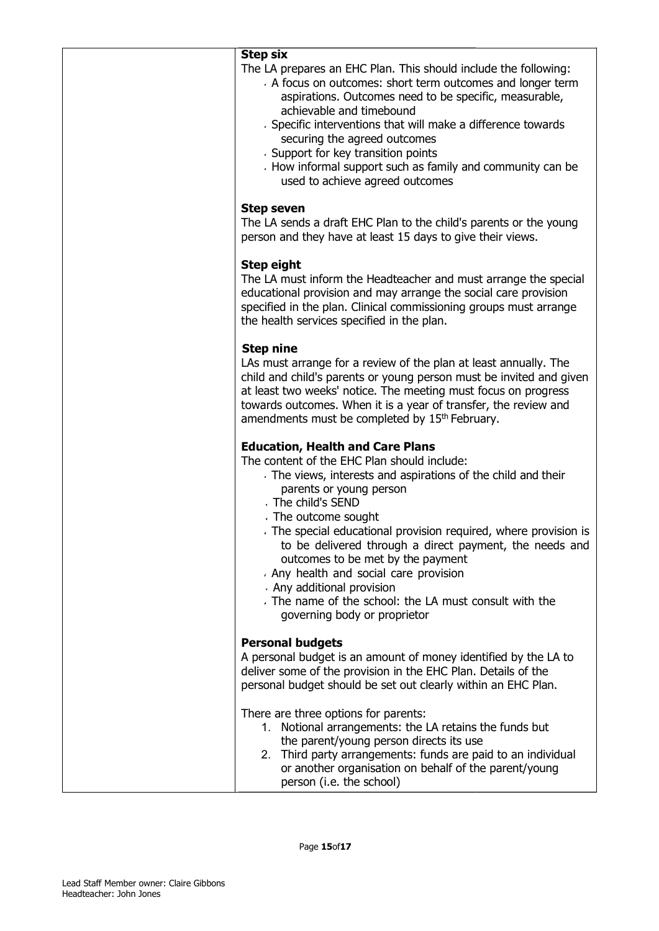The LA prepares an EHC Plan. This should include the following:

- A focus on outcomes: short term outcomes and longer term aspirations. Outcomes need to be specific, measurable, achievable and timebound
- Specific interventions that will make a difference towards securing the agreed outcomes
- Support for key transition points
- How informal support such as family and community can be used to achieve agreed outcomes

## Step seven

The LA sends a draft EHC Plan to the child's parents or the young person and they have at least 15 days to give their views.

## Step eight

The LA must inform the Headteacher and must arrange the special educational provision and may arrange the social care provision specified in the plan. Clinical commissioning groups must arrange the health services specified in the plan.

## Step nine

LAs must arrange for a review of the plan at least annually. The child and child's parents or young person must be invited and given at least two weeks' notice. The meeting must focus on progress towards outcomes. When it is a year of transfer, the review and amendments must be completed by 15<sup>th</sup> February. range the social care provision<br>missioning groups must arrang<br>e plan.<br>the plan at least annually. The<br>person must be invited and gi<br>neeting must focus on progress<br>rear of transfer, the review and<br>by 15<sup>th</sup> February.<br>**lans** 

# Education, Health and Care Plans

The content of the EHC Plan should include:

- The views, interests and aspirations of the child and their parents or young person
- The child's SEND
- The outcome sought
- The special educational provision required, where provision is to be delivered through a direct payment, the needs and outcomes to be met by the payment
- Any health and social care provision
- Any additional provision
- The name of the school: the LA must consult with with the governing body or proprietor

# Personal budgets

A personal budget is an amount of money identified by the LA to deliver some of the provision in the EHC Plan. Details of the personal budget should be set out clearly within an EHC Plan.

There are three options for parents:

- 1. Notional arrangements: the LA retains the funds but the parent/young person directs its use
- 2. Third party arrangements: funds are paid to an individual or another organisation on behalf of the parent/young person (i.e. the school)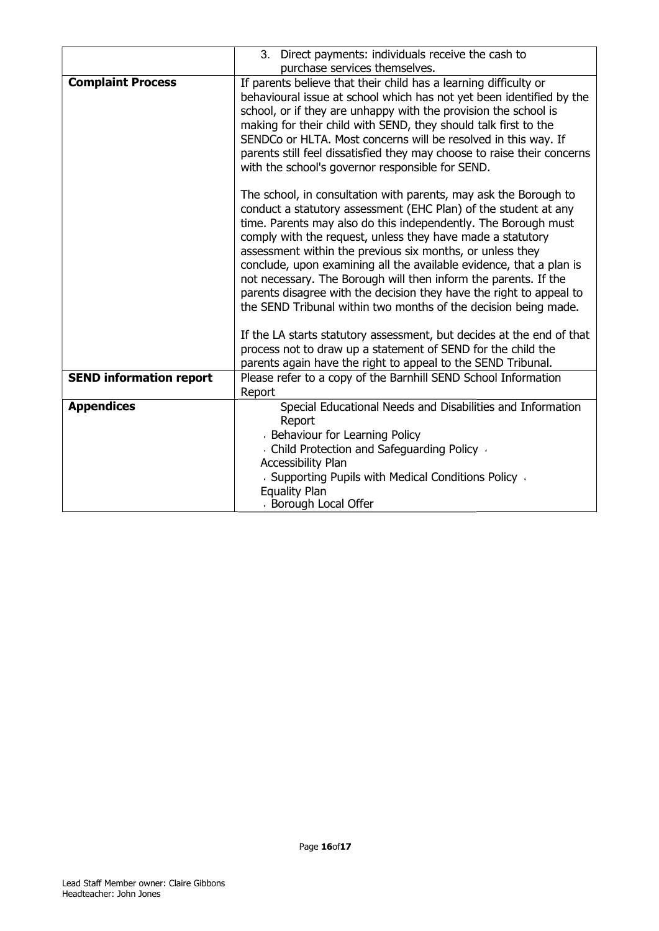|                                | 3. Direct payments: individuals receive the cash to                                                                                                                                                                                                                                                                                                                                                                                                                                                                                                                                                                                                                                           |
|--------------------------------|-----------------------------------------------------------------------------------------------------------------------------------------------------------------------------------------------------------------------------------------------------------------------------------------------------------------------------------------------------------------------------------------------------------------------------------------------------------------------------------------------------------------------------------------------------------------------------------------------------------------------------------------------------------------------------------------------|
|                                | purchase services themselves.                                                                                                                                                                                                                                                                                                                                                                                                                                                                                                                                                                                                                                                                 |
| <b>Complaint Process</b>       | If parents believe that their child has a learning difficulty or<br>behavioural issue at school which has not yet been identified by the<br>school, or if they are unhappy with the provision the school is<br>making for their child with SEND, they should talk first to the<br>SENDCo or HLTA. Most concerns will be resolved in this way. If<br>parents still feel dissatisfied they may choose to raise their concerns<br>with the school's governor responsible for SEND.                                                                                                                                                                                                               |
|                                | The school, in consultation with parents, may ask the Borough to<br>conduct a statutory assessment (EHC Plan) of the student at any<br>time. Parents may also do this independently. The Borough must<br>comply with the request, unless they have made a statutory<br>assessment within the previous six months, or unless they<br>conclude, upon examining all the available evidence, that a plan is<br>not necessary. The Borough will then inform the parents. If the<br>parents disagree with the decision they have the right to appeal to<br>the SEND Tribunal within two months of the decision being made.<br>If the LA starts statutory assessment, but decides at the end of that |
|                                | process not to draw up a statement of SEND for the child the<br>parents again have the right to appeal to the SEND Tribunal.                                                                                                                                                                                                                                                                                                                                                                                                                                                                                                                                                                  |
| <b>SEND information report</b> | Please refer to a copy of the Barnhill SEND School Information<br>Report                                                                                                                                                                                                                                                                                                                                                                                                                                                                                                                                                                                                                      |
| <b>Appendices</b>              | Special Educational Needs and Disabilities and Information<br>Report<br>Behaviour for Learning Policy<br>Child Protection and Safeguarding Policy                                                                                                                                                                                                                                                                                                                                                                                                                                                                                                                                             |
|                                | <b>Accessibility Plan</b><br>Supporting Pupils with Medical Conditions Policy<br><b>Equality Plan</b><br>Borough Local Offer                                                                                                                                                                                                                                                                                                                                                                                                                                                                                                                                                                  |